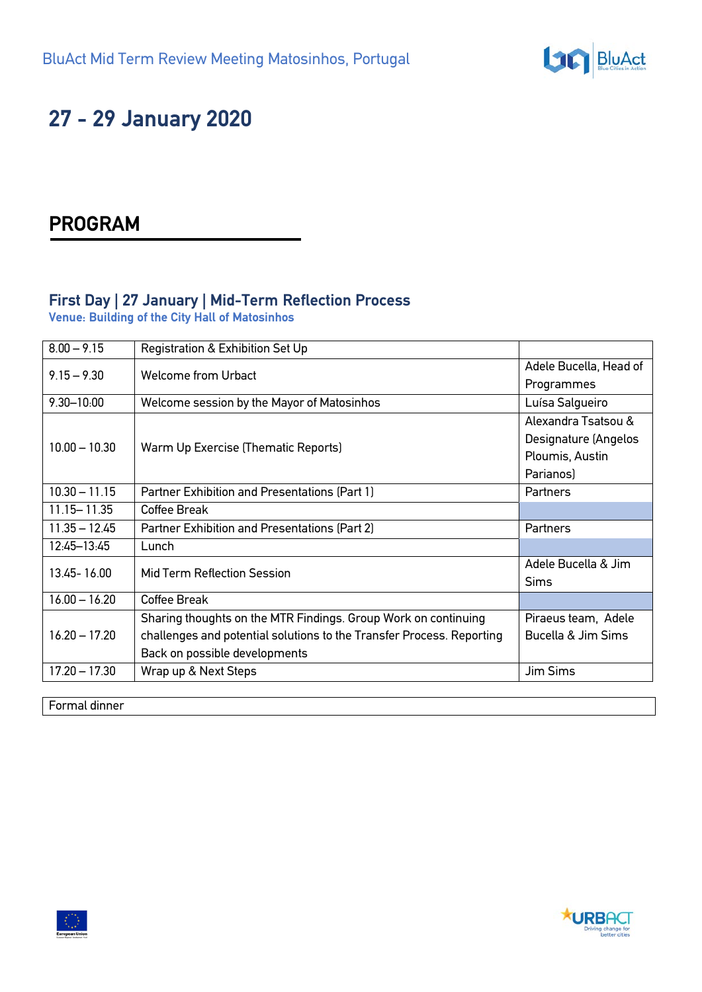

# **27 - 29 January 2020**

## **PROGRAM**

### **First Day | 27 January | Mid-Term Reflection Process**

**Venue: Building of the City Hall of Matosinhos**

| $8.00 - 9.15$   | Registration & Exhibition Set Up                                      |                        |
|-----------------|-----------------------------------------------------------------------|------------------------|
| $9.15 - 9.30$   | <b>Welcome from Urbact</b>                                            | Adele Bucella, Head of |
|                 |                                                                       | Programmes             |
| $9.30 - 10.00$  | Welcome session by the Mayor of Matosinhos                            | Luísa Salgueiro        |
| $10.00 - 10.30$ | Warm Up Exercise (Thematic Reports)                                   | Alexandra Tsatsou &    |
|                 |                                                                       | Designature (Angelos   |
|                 |                                                                       | Ploumis, Austin        |
|                 |                                                                       | Parianos)              |
| $10.30 - 11.15$ | Partner Exhibition and Presentations (Part 1)                         | Partners               |
| $11.15 - 11.35$ | Coffee Break                                                          |                        |
| $11.35 - 12.45$ | Partner Exhibition and Presentations (Part 2)                         | Partners               |
| 12:45-13:45     | Lunch                                                                 |                        |
| 13.45 - 16.00   | Mid Term Reflection Session                                           | Adele Bucella & Jim    |
|                 |                                                                       | <b>Sims</b>            |
| $16.00 - 16.20$ | Coffee Break                                                          |                        |
| $16.20 - 17.20$ | Sharing thoughts on the MTR Findings. Group Work on continuing        | Piraeus team, Adele    |
|                 | challenges and potential solutions to the Transfer Process. Reporting | Bucella & Jim Sims     |
|                 | Back on possible developments                                         |                        |
| $17.20 - 17.30$ | Wrap up & Next Steps                                                  | <b>Jim Sims</b>        |
|                 |                                                                       |                        |

Formal dinner

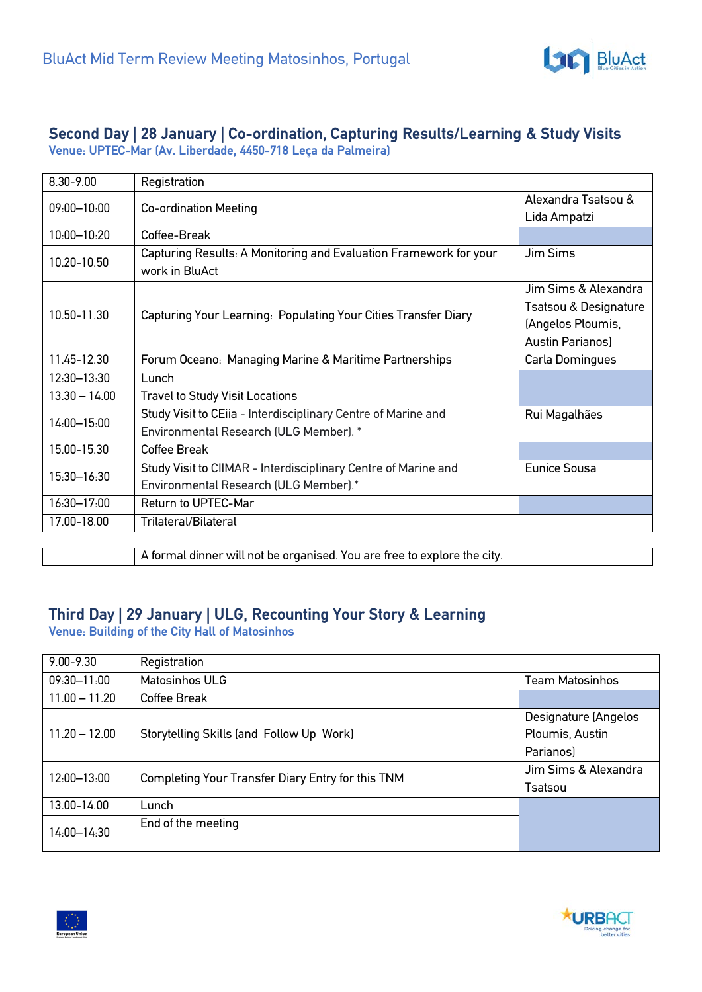

## **Second Day | 28 January | Co-ordination, Capturing Results/Learning & Study Visits**

**Venue: UPTEC-Mar (Av. Liberdade, 4450-718 Leça da Palmeira)**

| $8.30 - 9.00$   | Registration                                                                        |                                     |
|-----------------|-------------------------------------------------------------------------------------|-------------------------------------|
| $09.00 - 10.00$ | <b>Co-ordination Meeting</b>                                                        | Alexandra Tsatsou &<br>Lida Ampatzi |
| 10:00-10:20     | Coffee-Break                                                                        |                                     |
| 10.20-10.50     | Capturing Results: A Monitoring and Evaluation Framework for your<br>work in BluAct | Jim Sims                            |
| 10.50-11.30     | Capturing Your Learning: Populating Your Cities Transfer Diary                      | Jim Sims & Alexandra                |
|                 |                                                                                     | Tsatsou & Designature               |
|                 |                                                                                     | (Angelos Ploumis,                   |
|                 |                                                                                     | Austin Parianos)                    |
| 11.45-12.30     | Forum Oceano: Managing Marine & Maritime Partnerships                               | Carla Domingues                     |
| 12:30-13:30     | Lunch                                                                               |                                     |
| $13.30 - 14.00$ | <b>Travel to Study Visit Locations</b>                                              |                                     |
| $14.00 - 15.00$ | Study Visit to CEiia - Interdisciplinary Centre of Marine and                       | Rui Magalhães                       |
|                 | Environmental Research (ULG Member). *                                              |                                     |
| 15.00-15.30     | Coffee Break                                                                        |                                     |
| 15:30-16:30     | Study Visit to CIIMAR - Interdisciplinary Centre of Marine and                      | <b>Eunice Sousa</b>                 |
|                 | Environmental Research (ULG Member).*                                               |                                     |
| 16:30-17:00     | Return to UPTEC-Mar                                                                 |                                     |
| 17.00-18.00     | Trilateral/Bilateral                                                                |                                     |

A formal dinner will not be organised. You are free to explore the city.

### **Third Day | 29 January | ULG, Recounting Your Story & Learning**

**Venue: Building of the City Hall of Matosinhos**

| $9.00 - 9.30$   | Registration                                      |                        |
|-----------------|---------------------------------------------------|------------------------|
| 09:30-11:00     | Matosinhos ULG                                    | <b>Team Matosinhos</b> |
| $11.00 - 11.20$ | Coffee Break                                      |                        |
| $11.20 - 12.00$ | Storytelling Skills (and Follow Up Work)          | Designature (Angelos   |
|                 |                                                   | Ploumis, Austin        |
|                 |                                                   | Parianos)              |
| 12:00-13:00     | Completing Your Transfer Diary Entry for this TNM | Jim Sims & Alexandra   |
|                 |                                                   | Tsatsou                |
| 13.00-14.00     | Lunch                                             |                        |
| 14:00-14:30     | End of the meeting                                |                        |